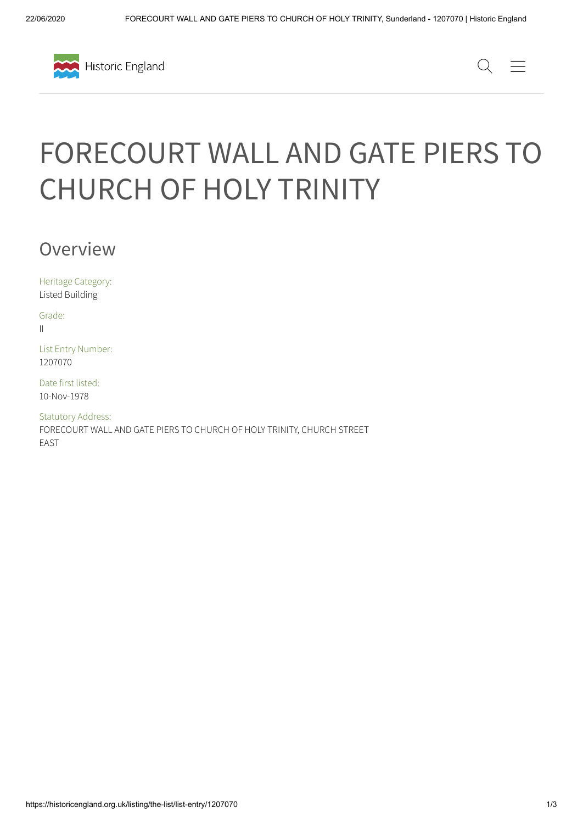



# FORECOURT WALL AND GATE PIERS TO CHURCH OF HOLY TRINITY

Overview

Heritage Category: Listed Building

Grade: II

List Entry Number: 1207070

Date first listed: 10-Nov-1978

Statutory Address: FORECOURT WALL AND GATE PIERS TO CHURCH OF HOLY TRINITY, CHURCH STREET EAST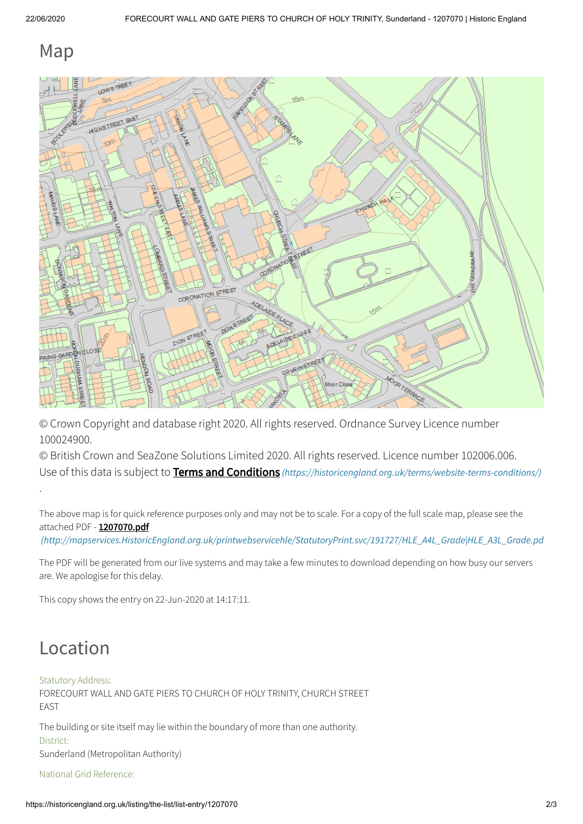### Map



© Crown Copyright and database right 2020. All rights reserved. Ordnance Survey Licence number 100024900.

© British Crown and SeaZone Solutions Limited 2020. All rights reserved. Licence number 102006.006. Use of this data is subject to **Terms and Conditions** [\(https://historicengland.org.uk/terms/website-terms-conditions/\)](https://historicengland.org.uk/terms/website-terms-conditions/)

The above map is for quick reference purposes only and may not be to scale. For a copy of the full scale map, please see the attached PDF - 1207070.pdf

[\(http://mapservices.HistoricEngland.org.uk/printwebservicehle/StatutoryPrint.svc/191727/HLE\\_A4L\\_Grade|HLE\\_A3L\\_Grade.pd](http://mapservices.historicengland.org.uk/printwebservicehle/StatutoryPrint.svc/191727/HLE_A4L_Grade%7CHLE_A3L_Grade.pdf)

The PDF will be generated from our live systems and may take a few minutes to download depending on how busy our servers are. We apologise for this delay.

This copy shows the entry on 22-Jun-2020 at 14:17:11.

### Location

.

#### Statutory Address:

FORECOURT WALL AND GATE PIERS TO CHURCH OF HOLY TRINITY, CHURCH STREET EAST

The building or site itself may lie within the boundary of more than one authority. District:

Sunderland (Metropolitan Authority)

National Grid Reference: